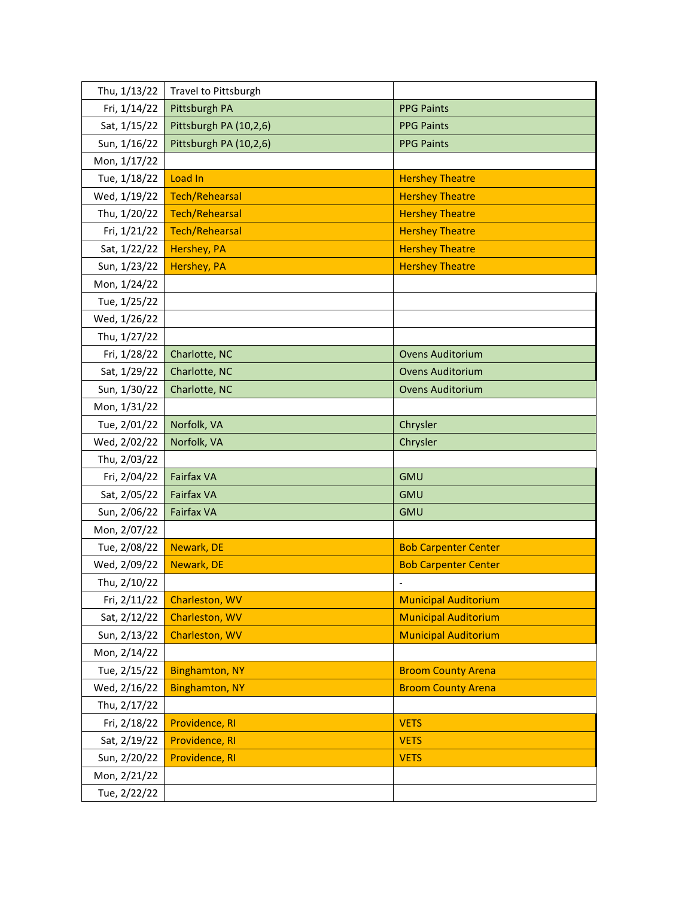| Thu, 1/13/22 | <b>Travel to Pittsburgh</b> |                             |
|--------------|-----------------------------|-----------------------------|
| Fri, 1/14/22 | Pittsburgh PA               | <b>PPG Paints</b>           |
| Sat, 1/15/22 | Pittsburgh PA (10,2,6)      | <b>PPG Paints</b>           |
| Sun, 1/16/22 | Pittsburgh PA (10,2,6)      | <b>PPG Paints</b>           |
| Mon, 1/17/22 |                             |                             |
| Tue, 1/18/22 | Load In                     | <b>Hershey Theatre</b>      |
| Wed, 1/19/22 | <b>Tech/Rehearsal</b>       | <b>Hershey Theatre</b>      |
| Thu, 1/20/22 | <b>Tech/Rehearsal</b>       | <b>Hershey Theatre</b>      |
| Fri, 1/21/22 | <b>Tech/Rehearsal</b>       | <b>Hershey Theatre</b>      |
| Sat, 1/22/22 | Hershey, PA                 | <b>Hershey Theatre</b>      |
| Sun, 1/23/22 | Hershey, PA                 | <b>Hershey Theatre</b>      |
| Mon, 1/24/22 |                             |                             |
| Tue, 1/25/22 |                             |                             |
| Wed, 1/26/22 |                             |                             |
| Thu, 1/27/22 |                             |                             |
| Fri, 1/28/22 | Charlotte, NC               | <b>Ovens Auditorium</b>     |
| Sat, 1/29/22 | Charlotte, NC               | <b>Ovens Auditorium</b>     |
| Sun, 1/30/22 | Charlotte, NC               | <b>Ovens Auditorium</b>     |
| Mon, 1/31/22 |                             |                             |
| Tue, 2/01/22 | Norfolk, VA                 | Chrysler                    |
| Wed, 2/02/22 | Norfolk, VA                 | Chrysler                    |
| Thu, 2/03/22 |                             |                             |
| Fri, 2/04/22 | <b>Fairfax VA</b>           | <b>GMU</b>                  |
| Sat, 2/05/22 | <b>Fairfax VA</b>           | <b>GMU</b>                  |
| Sun, 2/06/22 | <b>Fairfax VA</b>           | <b>GMU</b>                  |
| Mon, 2/07/22 |                             |                             |
| Tue, 2/08/22 | Newark, DE                  | <b>Bob Carpenter Center</b> |
| Wed, 2/09/22 | Newark, DE                  | <b>Bob Carpenter Center</b> |
| Thu, 2/10/22 |                             |                             |
| Fri, 2/11/22 | Charleston, WV              | <b>Municipal Auditorium</b> |
| Sat, 2/12/22 | Charleston, WV              | <b>Municipal Auditorium</b> |
| Sun, 2/13/22 | Charleston, WV              | <b>Municipal Auditorium</b> |
| Mon, 2/14/22 |                             |                             |
| Tue, 2/15/22 | <b>Binghamton, NY</b>       | <b>Broom County Arena</b>   |
| Wed, 2/16/22 | <b>Binghamton, NY</b>       | <b>Broom County Arena</b>   |
| Thu, 2/17/22 |                             |                             |
| Fri, 2/18/22 | Providence, RI              | <b>VETS</b>                 |
| Sat, 2/19/22 | Providence, RI              | <b>VETS</b>                 |
| Sun, 2/20/22 | Providence, RI              | <b>VETS</b>                 |
| Mon, 2/21/22 |                             |                             |
| Tue, 2/22/22 |                             |                             |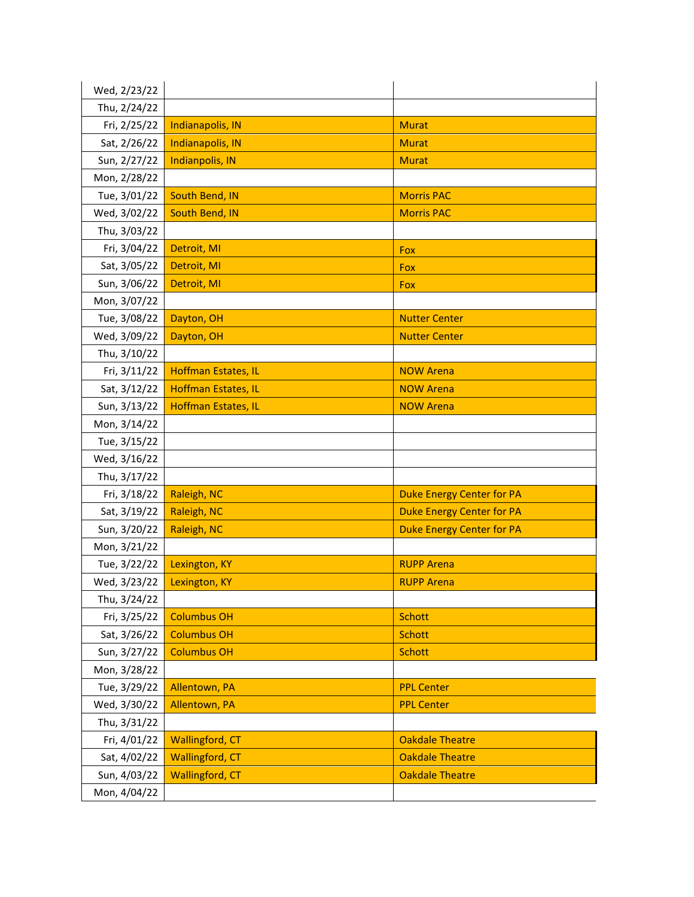| Wed, 2/23/22 |                        |                                  |
|--------------|------------------------|----------------------------------|
| Thu, 2/24/22 |                        |                                  |
| Fri, 2/25/22 | Indianapolis, IN       | <b>Murat</b>                     |
| Sat, 2/26/22 | Indianapolis, IN       | <b>Murat</b>                     |
| Sun, 2/27/22 | Indianpolis, IN        | <b>Murat</b>                     |
| Mon, 2/28/22 |                        |                                  |
| Tue, 3/01/22 | South Bend, IN         | <b>Morris PAC</b>                |
| Wed, 3/02/22 | South Bend, IN         | <b>Morris PAC</b>                |
| Thu, 3/03/22 |                        |                                  |
| Fri, 3/04/22 | Detroit, MI            | Fox                              |
| Sat, 3/05/22 | Detroit, MI            | Fox                              |
| Sun, 3/06/22 | Detroit, MI            | Fox                              |
| Mon, 3/07/22 |                        |                                  |
| Tue, 3/08/22 | Dayton, OH             | <b>Nutter Center</b>             |
| Wed, 3/09/22 | Dayton, OH             | <b>Nutter Center</b>             |
| Thu, 3/10/22 |                        |                                  |
| Fri, 3/11/22 | Hoffman Estates, IL    | <b>NOW Arena</b>                 |
| Sat, 3/12/22 | Hoffman Estates, IL    | <b>NOW Arena</b>                 |
| Sun, 3/13/22 | Hoffman Estates, IL    | <b>NOW Arena</b>                 |
| Mon, 3/14/22 |                        |                                  |
| Tue, 3/15/22 |                        |                                  |
| Wed, 3/16/22 |                        |                                  |
| Thu, 3/17/22 |                        |                                  |
| Fri, 3/18/22 | Raleigh, NC            | <b>Duke Energy Center for PA</b> |
| Sat, 3/19/22 | Raleigh, NC            | <b>Duke Energy Center for PA</b> |
| Sun, 3/20/22 | Raleigh, NC            | <b>Duke Energy Center for PA</b> |
| Mon, 3/21/22 |                        |                                  |
| Tue, 3/22/22 | Lexington, KY          | <b>RUPP Arena</b>                |
| Wed, 3/23/22 | Lexington, KY          | <b>RUPP Arena</b>                |
| Thu, 3/24/22 |                        |                                  |
| Fri, 3/25/22 | <b>Columbus OH</b>     | <b>Schott</b>                    |
| Sat, 3/26/22 | <b>Columbus OH</b>     | <b>Schott</b>                    |
| Sun, 3/27/22 | <b>Columbus OH</b>     | <b>Schott</b>                    |
| Mon, 3/28/22 |                        |                                  |
| Tue, 3/29/22 | Allentown, PA          | <b>PPL Center</b>                |
| Wed, 3/30/22 | Allentown, PA          | <b>PPL Center</b>                |
| Thu, 3/31/22 |                        |                                  |
| Fri, 4/01/22 | <b>Wallingford, CT</b> | <b>Oakdale Theatre</b>           |
| Sat, 4/02/22 | <b>Wallingford, CT</b> | <b>Oakdale Theatre</b>           |
| Sun, 4/03/22 | <b>Wallingford, CT</b> | <b>Oakdale Theatre</b>           |
| Mon, 4/04/22 |                        |                                  |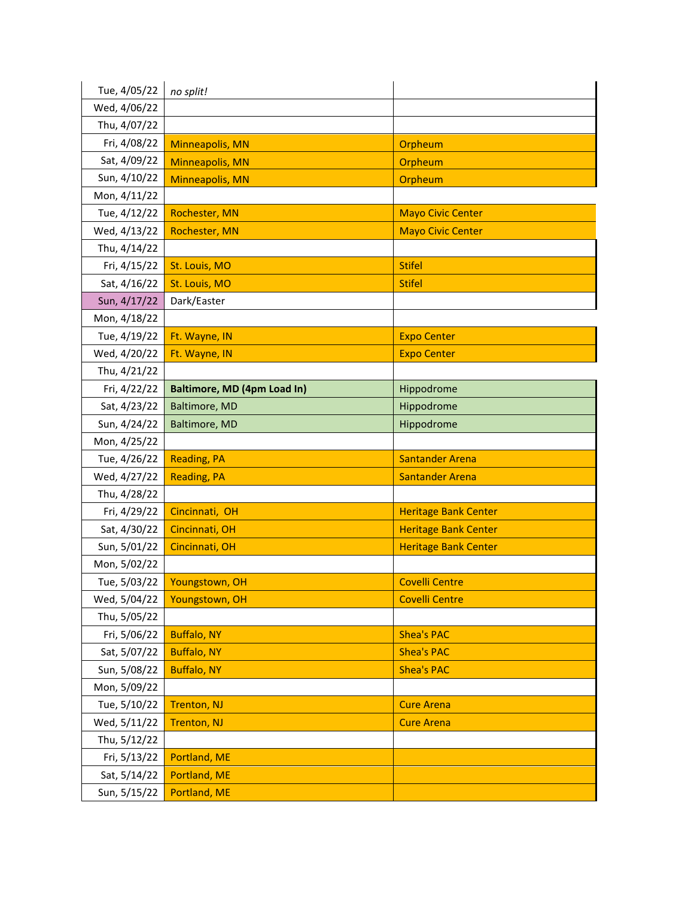| Tue, 4/05/22 | no split!                          |                             |
|--------------|------------------------------------|-----------------------------|
| Wed, 4/06/22 |                                    |                             |
| Thu, 4/07/22 |                                    |                             |
| Fri, 4/08/22 | Minneapolis, MN                    | Orpheum                     |
| Sat, 4/09/22 | Minneapolis, MN                    | Orpheum                     |
| Sun, 4/10/22 | Minneapolis, MN                    | Orpheum                     |
| Mon, 4/11/22 |                                    |                             |
| Tue, 4/12/22 | Rochester, MN                      | <b>Mayo Civic Center</b>    |
| Wed, 4/13/22 | Rochester, MN                      | <b>Mayo Civic Center</b>    |
| Thu, 4/14/22 |                                    |                             |
| Fri, 4/15/22 | St. Louis, MO                      | <b>Stifel</b>               |
| Sat, 4/16/22 | St. Louis, MO                      | <b>Stifel</b>               |
| Sun, 4/17/22 | Dark/Easter                        |                             |
| Mon, 4/18/22 |                                    |                             |
| Tue, 4/19/22 | Ft. Wayne, IN                      | <b>Expo Center</b>          |
| Wed, 4/20/22 | Ft. Wayne, IN                      | <b>Expo Center</b>          |
| Thu, 4/21/22 |                                    |                             |
| Fri, 4/22/22 | <b>Baltimore, MD (4pm Load In)</b> | Hippodrome                  |
| Sat, 4/23/22 | <b>Baltimore, MD</b>               | Hippodrome                  |
| Sun, 4/24/22 | Baltimore, MD                      | Hippodrome                  |
|              |                                    |                             |
| Mon, 4/25/22 |                                    |                             |
| Tue, 4/26/22 | <b>Reading, PA</b>                 | <b>Santander Arena</b>      |
| Wed, 4/27/22 | <b>Reading, PA</b>                 | <b>Santander Arena</b>      |
| Thu, 4/28/22 |                                    |                             |
| Fri, 4/29/22 | Cincinnati, OH                     | <b>Heritage Bank Center</b> |
| Sat, 4/30/22 | Cincinnati, OH                     | <b>Heritage Bank Center</b> |
| Sun, 5/01/22 | Cincinnati, OH                     | <b>Heritage Bank Center</b> |
| Mon, 5/02/22 |                                    |                             |
| Tue, 5/03/22 | Youngstown, OH                     | <b>Covelli Centre</b>       |
| Wed, 5/04/22 | Youngstown, OH                     | <b>Covelli Centre</b>       |
| Thu, 5/05/22 |                                    |                             |
| Fri, 5/06/22 | <b>Buffalo, NY</b>                 | <b>Shea's PAC</b>           |
| Sat, 5/07/22 | <b>Buffalo, NY</b>                 | <b>Shea's PAC</b>           |
| Sun, 5/08/22 | <b>Buffalo, NY</b>                 | <b>Shea's PAC</b>           |
| Mon, 5/09/22 |                                    |                             |
| Tue, 5/10/22 | <b>Trenton, NJ</b>                 | <b>Cure Arena</b>           |
| Wed, 5/11/22 | <b>Trenton, NJ</b>                 | <b>Cure Arena</b>           |
| Thu, 5/12/22 |                                    |                             |
| Fri, 5/13/22 | Portland, ME                       |                             |
| Sat, 5/14/22 | Portland, ME                       |                             |